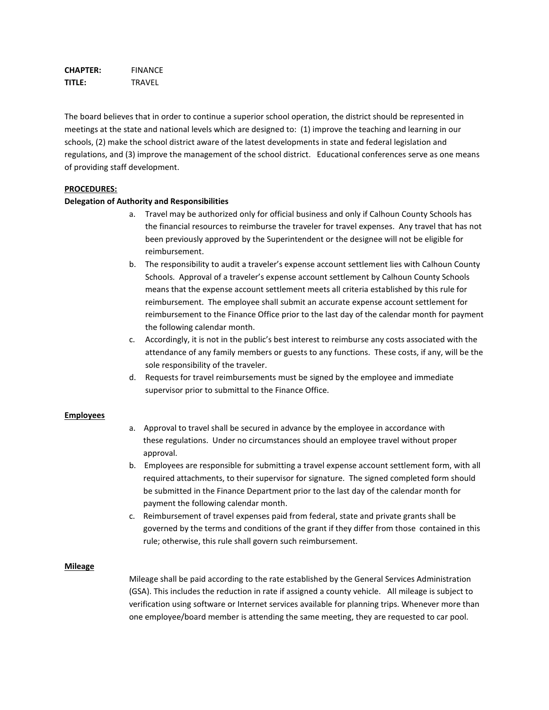**CHAPTER:** FINANCE **TITLE:** TRAVEL

The board believes that in order to continue a superior school operation, the district should be represented in meetings at the state and national levels which are designed to: (1) improve the teaching and learning in our schools, (2) make the school district aware of the latest developments in state and federal legislation and regulations, and (3) improve the management of the school district. Educational conferences serve as one means of providing staff development.

#### **PROCEDURES:**

#### **Delegation of Authority and Responsibilities**

- a. Travel may be authorized only for official business and only if Calhoun County Schools has the financial resources to reimburse the traveler for travel expenses. Any travel that has not been previously approved by the Superintendent or the designee will not be eligible for reimbursement.
- b. The responsibility to audit a traveler's expense account settlement lies with Calhoun County Schools. Approval of a traveler's expense account settlement by Calhoun County Schools means that the expense account settlement meets all criteria established by this rule for reimbursement. The employee shall submit an accurate expense account settlement for reimbursement to the Finance Office prior to the last day of the calendar month for payment the following calendar month.
- c. Accordingly, it is not in the public's best interest to reimburse any costs associated with the attendance of any family members or guests to any functions. These costs, if any, will be the sole responsibility of the traveler.
- d. Requests for travel reimbursements must be signed by the employee and immediate supervisor prior to submittal to the Finance Office.

#### **Employees**

- a. Approval to travel shall be secured in advance by the employee in accordance with these regulations. Under no circumstances should an employee travel without proper approval.
- b. Employees are responsible for submitting a travel expense account settlement form, with all required attachments, to their supervisor for signature. The signed completed form should be submitted in the Finance Department prior to the last day of the calendar month for payment the following calendar month.
- c. Reimbursement of travel expenses paid from federal, state and private grants shall be governed by the terms and conditions of the grant if they differ from those contained in this rule; otherwise, this rule shall govern such reimbursement.

#### **Mileage**

Mileage shall be paid according to the rate established by the General Services Administration (GSA). This includes the reduction in rate if assigned a county vehicle. All mileage is subject to verification using software or Internet services available for planning trips. Whenever more than one employee/board member is attending the same meeting, they are requested to car pool.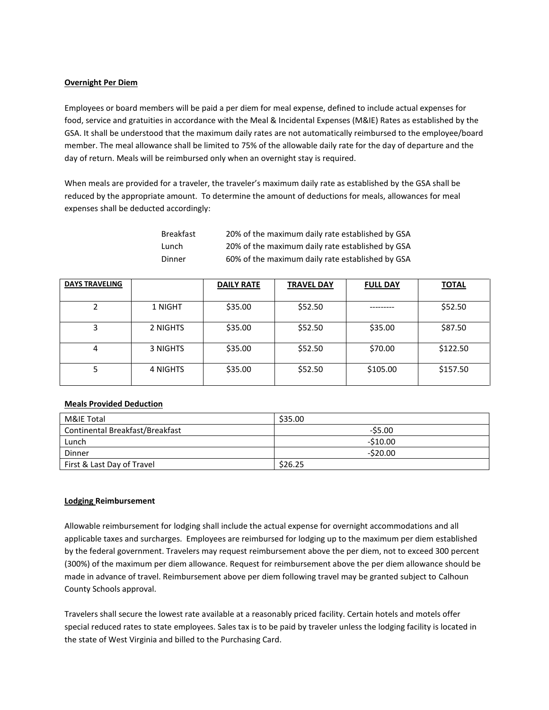## **Overnight Per Diem**

Employees or board members will be paid a per diem for meal expense, defined to include actual expenses for food, service and gratuities in accordance with the Meal & Incidental Expenses (M&IE) Rates as established by the GSA. It shall be understood that the maximum daily rates are not automatically reimbursed to the employee/board member. The meal allowance shall be limited to 75% of the allowable daily rate for the day of departure and the day of return. Meals will be reimbursed only when an overnight stay is required.

When meals are provided for a traveler, the traveler's maximum daily rate as established by the GSA shall be reduced by the appropriate amount. To determine the amount of deductions for meals, allowances for meal expenses shall be deducted accordingly:

> Breakfast 20% of the maximum daily rate established by GSA Lunch 20% of the maximum daily rate established by GSA Dinner 60% of the maximum daily rate established by GSA

| <b>DAYS TRAVELING</b> |          | <b>DAILY RATE</b> | <b>TRAVEL DAY</b> | <b>FULL DAY</b> | <b>TOTAL</b> |
|-----------------------|----------|-------------------|-------------------|-----------------|--------------|
|                       | 1 NIGHT  | \$35.00           | \$52.50           |                 | \$52.50      |
| 3                     | 2 NIGHTS | \$35.00           | \$52.50           | \$35.00         | \$87.50      |
| 4                     | 3 NIGHTS | \$35.00           | \$52.50           | \$70.00         | \$122.50     |
| 5                     | 4 NIGHTS | \$35.00           | \$52.50           | \$105.00        | \$157.50     |

# **Meals Provided Deduction**

| M&IE Total                      | \$35.00   |
|---------------------------------|-----------|
| Continental Breakfast/Breakfast | $-55.00$  |
| Lunch                           | $-510.00$ |
| Dinner                          | $-520.00$ |
| First & Last Day of Travel      | \$26.25   |

# **Lodging Reimbursement**

Allowable reimbursement for lodging shall include the actual expense for overnight accommodations and all applicable taxes and surcharges.Employees are reimbursed for lodging up to the maximum per diem established by the federal government. Travelers may request reimbursement above the per diem, not to exceed 300 percent (300%) of the maximum per diem allowance. Request for reimbursement above the per diem allowance should be made in advance of travel. Reimbursement above per diem following travel may be granted subject to Calhoun County Schools approval.

Travelers shall secure the lowest rate available at a reasonably priced facility. Certain hotels and motels offer special reduced rates to state employees. Sales tax is to be paid by traveler unless the lodging facility is located in the state of West Virginia and billed to the Purchasing Card.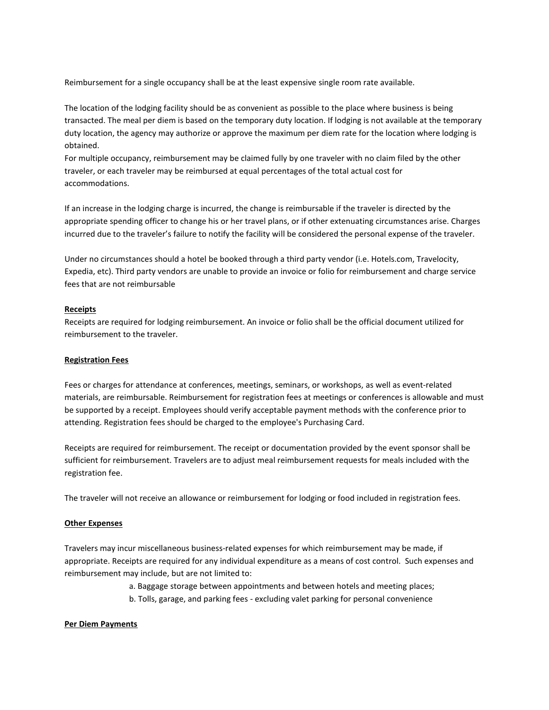Reimbursement for a single occupancy shall be at the least expensive single room rate available.

The location of the lodging facility should be as convenient as possible to the place where business is being transacted. The meal per diem is based on the temporary duty location. If lodging is not available at the temporary duty location, the agency may authorize or approve the maximum per diem rate for the location where lodging is obtained.

For multiple occupancy, reimbursement may be claimed fully by one traveler with no claim filed by the other traveler, or each traveler may be reimbursed at equal percentages of the total actual cost for accommodations.

If an increase in the lodging charge is incurred, the change is reimbursable if the traveler is directed by the appropriate spending officer to change his or her travel plans, or if other extenuating circumstances arise. Charges incurred due to the traveler's failure to notify the facility will be considered the personal expense of the traveler.

Under no circumstances should a hotel be booked through a third party vendor (i.e. Hotels.com, Travelocity, Expedia, etc). Third party vendors are unable to provide an invoice or folio for reimbursement and charge service fees that are not reimbursable

### **Receipts**

Receipts are required for lodging reimbursement. An invoice or folio shall be the official document utilized for reimbursement to the traveler.

### **Registration Fees**

Fees or charges for attendance at conferences, meetings, seminars, or workshops, as well as event-related materials, are reimbursable. Reimbursement for registration fees at meetings or conferences is allowable and must be supported by a receipt. Employees should verify acceptable payment methods with the conference prior to attending. Registration fees should be charged to the employee's Purchasing Card.

Receipts are required for reimbursement. The receipt or documentation provided by the event sponsor shall be sufficient for reimbursement. Travelers are to adjust meal reimbursement requests for meals included with the registration fee.

The traveler will not receive an allowance or reimbursement for lodging or food included in registration fees.

# **Other Expenses**

Travelers may incur miscellaneous business-related expenses for which reimbursement may be made, if appropriate. Receipts are required for any individual expenditure as a means of cost control. Such expenses and reimbursement may include, but are not limited to:

a. Baggage storage between appointments and between hotels and meeting places;

b. Tolls, garage, and parking fees - excluding valet parking for personal convenience

### **Per Diem Payments**